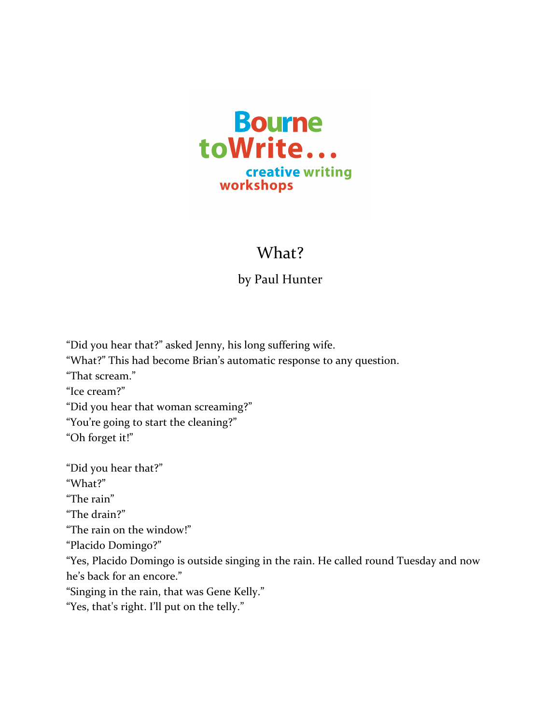

## What?

## by Paul Hunter

"Did you hear that?" asked Jenny, his long suffering wife.

"What?" This had become Brian's automatic response to any question.

"That scream."

"Ice cream?"

"Did you hear that woman screaming?"

"You're going to start the cleaning?"

"Oh forget it!"

"Did you hear that?"

"What?"

"The rain"

"The drain?"

"The rain on the window!"

"Placido Domingo?"

"Yes, Placido Domingo is outside singing in the rain. He called round Tuesday and now he's back for an encore."

"Singing in the rain, that was Gene Kelly."

"Yes, that's right. I'll put on the telly."